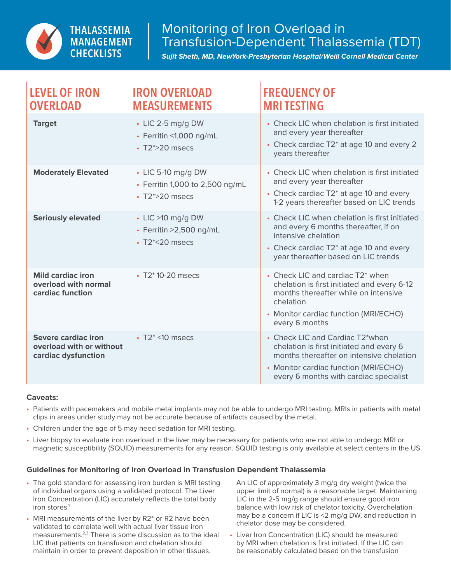

*Sujit Sheth, MD, NewYork-Presbyterian Hospital/Weill Cornell Medical Center*

| <b>LEVEL OF IRON</b><br><b>OVERLOAD</b>                                | <b>IRON OVERLOAD</b><br><b>MEASUREMENTS</b>                                         | <b>FREQUENCY OF</b><br><b>MRITESTING</b>                                                                                                                                                                   |
|------------------------------------------------------------------------|-------------------------------------------------------------------------------------|------------------------------------------------------------------------------------------------------------------------------------------------------------------------------------------------------------|
| <b>Target</b>                                                          | $\cdot$ LIC 2-5 mg/g DW<br>• Ferritin <1,000 ng/mL<br>$\cdot$ T2*>20 msecs          | • Check LIC when chelation is first initiated<br>and every year thereafter<br>• Check cardiac T2* at age 10 and every 2<br>years thereafter                                                                |
| <b>Moderately Elevated</b>                                             | $\cdot$ LIC 5-10 mg/g DW<br>• Ferritin 1,000 to 2,500 ng/mL<br>$\cdot$ T2*>20 msecs | • Check LIC when chelation is first initiated<br>and every year thereafter<br>• Check cardiac T2* at age 10 and every<br>1-2 years thereafter based on LIC trends                                          |
| <b>Seriously elevated</b>                                              | $\cdot$ LIC >10 mg/g DW<br>$\cdot$ Ferritin >2,500 ng/mL<br>$\cdot$ T2*<20 msecs    | • Check LIC when chelation is first initiated<br>and every 6 months thereafter, if on<br>intensive chelation<br>• Check cardiac T2* at age 10 and every<br>year thereafter based on LIC trends             |
| <b>Mild cardiac iron</b><br>overload with normal<br>cardiac function   | • T2* 10-20 msecs                                                                   | • Check LIC and cardiac T2* when<br>chelation is first initiated and every 6-12<br>months thereafter while on intensive<br>chelation<br>• Monitor cardiac function (MRI/ECHO)<br>every 6 months            |
| Severe cardiac iron<br>overload with or without<br>cardiac dysfunction | $\cdot$ T2* <10 msecs                                                               | • Check LIC and Cardiac T2*when<br>chelation is first initiated and every 6<br>months thereafter on intensive chelation<br>• Monitor cardiac function (MRI/ECHO)<br>every 6 months with cardiac specialist |

## **Caveats:**

- Patients with pacemakers and mobile metal implants may not be able to undergo MRI testing. MRIs in patients with metal clips in areas under study may not be accurate because of artifacts caused by the metal.
- Children under the age of 5 may need sedation for MRI testing.
- Liver biopsy to evaluate iron overload in the liver may be necessary for patients who are not able to undergo MRI or magnetic susceptibility (SQUID) measurements for any reason. SQUID testing is only available at select centers in the US.

## **Guidelines for Monitoring of Iron Overload in Transfusion Dependent Thalassemia**

- The gold standard for assessing iron burden is MRI testing of individual organs using a validated protocol. The Liver Iron Concentration (LIC) accurately reflects the total body iron stores.<sup>1</sup>
- MRI measurements of the liver by R2<sup>\*</sup> or R2 have been validated to correlate well with actual liver tissue iron measurements.<sup>2,3</sup> There is some discussion as to the ideal LIC that patients on transfusion and chelation should maintain in order to prevent deposition in other tissues.

An LIC of approximately 3 mg/g dry weight (twice the upper limit of normal) is a reasonable target. Maintaining LIC in the 2-5 mg/g range should ensure good iron balance with low risk of chelator toxicity. Overchelation may be a concern if LIC is <2 mg/g DW, and reduction in chelator dose may be considered.

• Liver Iron Concentration (LIC) should be measured by MRI when chelation is first initiated. If the LIC can be reasonably calculated based on the transfusion